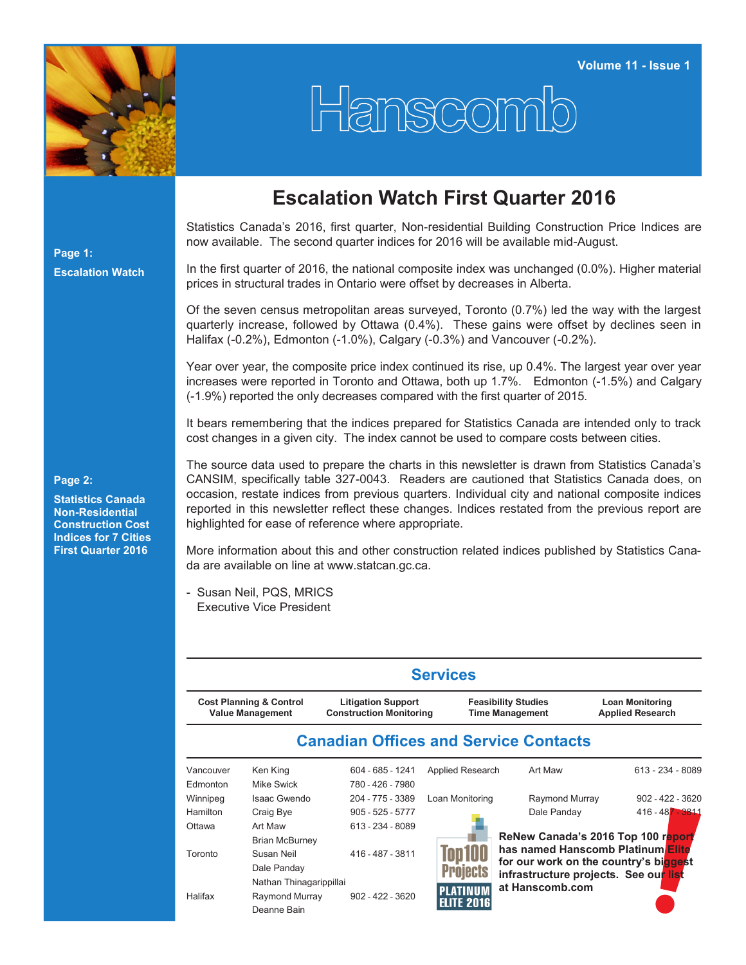

## Hanscomb

## **Escalation Watch First Quarter 2016**

Statistics Canada's 2016, first quarter, Non-residential Building Construction Price Indices are now available. The second quarter indices for 2016 will be available mid-August.

In the first quarter of 2016, the national composite index was unchanged (0.0%). Higher material prices in structural trades in Ontario were offset by decreases in Alberta.

Of the seven census metropolitan areas surveyed, Toronto (0.7%) led the way with the largest quarterly increase, followed by Ottawa (0.4%). These gains were offset by declines seen in Halifax (-0.2%), Edmonton (-1.0%), Calgary (-0.3%) and Vancouver (-0.2%).

Year over year, the composite price index continued its rise, up 0.4%. The largest year over year increases were reported in Toronto and Ottawa, both up 1.7%. Edmonton (-1.5%) and Calgary (-1.9%) reported the only decreases compared with the first quarter of 2015.

It bears remembering that the indices prepared for Statistics Canada are intended only to track cost changes in a given city. The index cannot be used to compare costs between cities.

**Page 2:**

**Page 1:**

**Escalation Watch**

**Statistics Canada Non-Residential Construction Cost Indices for 7 Cities First Quarter 2016**

The source data used to prepare the charts in this newsletter is drawn from Statistics Canada's CANSIM, specifically table 327-0043. Readers are cautioned that Statistics Canada does, on occasion, restate indices from previous quarters. Individual city and national composite indices reported in this newsletter reflect these changes. Indices restated from the previous report are highlighted for ease of reference where appropriate.

More information about this and other construction related indices published by Statistics Canada are available on line at [www.statcan.gc.ca.](http://www.statcan.gc.ca)

- Susan Neil, PQS, MRICS Executive Vice President

|           |                                                                                                                              |                    | <b>Services</b>       |                                                                            |                                                   |  |  |  |
|-----------|------------------------------------------------------------------------------------------------------------------------------|--------------------|-----------------------|----------------------------------------------------------------------------|---------------------------------------------------|--|--|--|
|           | <b>Cost Planning &amp; Control</b><br><b>Litigation Support</b><br><b>Value Management</b><br><b>Construction Monitoring</b> |                    |                       | <b>Feasibility Studies</b><br><b>Time Management</b>                       | <b>Loan Monitoring</b><br><b>Applied Research</b> |  |  |  |
|           |                                                                                                                              |                    |                       | <b>Canadian Offices and Service Contacts</b>                               |                                                   |  |  |  |
| Vancouver | Ken King                                                                                                                     | 604 - 685 - 1241   | Applied Research      | Art Maw                                                                    | $613 - 234 - 8089$                                |  |  |  |
| Edmonton  | Mike Swick                                                                                                                   | 780 - 426 - 7980   |                       |                                                                            |                                                   |  |  |  |
| Winnipeg  | Isaac Gwendo                                                                                                                 | 204 - 775 - 3389   | Loan Monitoring       | Raymond Murray                                                             | $902 - 422 - 3620$                                |  |  |  |
| Hamilton  | Craig Bye                                                                                                                    | $905 - 525 - 5777$ |                       | Dale Panday                                                                | 416 - 487 - 3811                                  |  |  |  |
| Ottawa    | Art Maw                                                                                                                      | 613 - 234 - 8089   |                       |                                                                            |                                                   |  |  |  |
|           | <b>Brian McBurney</b>                                                                                                        |                    |                       |                                                                            | ReNew Canada's 2016 Top 100 report                |  |  |  |
| Toronto   | Susan Neil                                                                                                                   | 416 - 487 - 3811   | <b><i>fop 100</i></b> | has named Hanscomb Platinum Elite<br>for our work on the country's biggest |                                                   |  |  |  |
|           | Dale Panday                                                                                                                  |                    | <b>niects</b>         | infrastructure projects. See our list                                      |                                                   |  |  |  |
|           | Nathan Thinagarippillai                                                                                                      |                    |                       | at Hanscomb.com                                                            |                                                   |  |  |  |
| Halifax   | Raymond Murray                                                                                                               | $902 - 422 - 3620$ | <b>ELITE 2016</b>     |                                                                            |                                                   |  |  |  |
|           | Deanne Bain                                                                                                                  |                    |                       |                                                                            |                                                   |  |  |  |